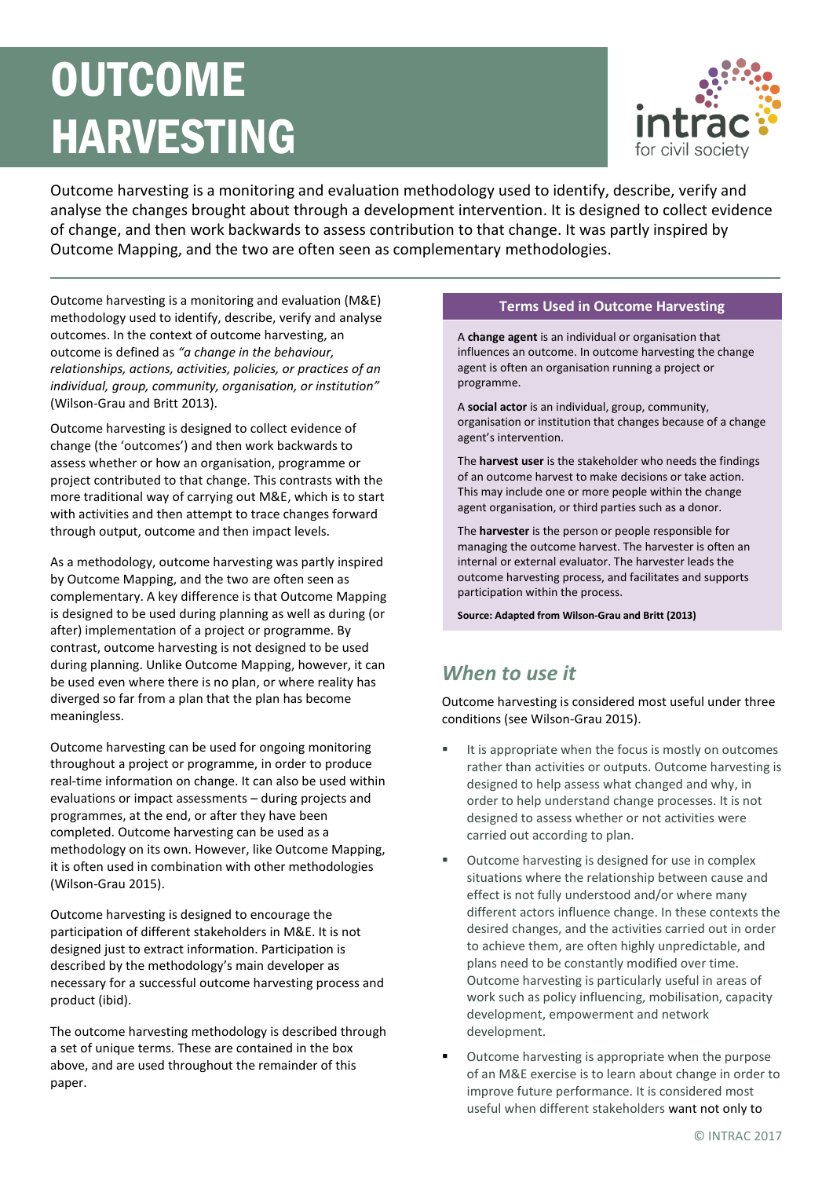# **OUTCOME** HARVESTING



Outcome harvesting is a monitoring and evaluation methodology used to identify, describe, verify and analyse the changes brought about through a development intervention. It is designed to collect evidence of change, and then work backwards to assess contribution to that change. It was partly inspired by Outcome Mapping, and the two are often seen as complementary methodologies.

Outcome harvesting is a monitoring and evaluation (M&E) methodology used to identify, describe, verify and analyse outcomes. In the context of outcome harvesting, an outcome is defined as *"a change in the behaviour, relationships, actions, activities, policies, or practices of an individual, group, community, organisation, or institution"*  (Wilson-Grau and Britt 2013).

Outcome harvesting is designed to collect evidence of change (the 'outcomes') and then work backwards to assess whether or how an organisation, programme or project contributed to that change. This contrasts with the more traditional way of carrying out M&E, which is to start with activities and then attempt to trace changes forward through output, outcome and then impact levels.

As a methodology, outcome harvesting was partly inspired by Outcome Mapping, and the two are often seen as complementary. A key difference is that Outcome Mapping is designed to be used during planning as well as during (or after) implementation of a project or programme. By contrast, outcome harvesting is not designed to be used during planning. Unlike Outcome Mapping, however, it can be used even where there is no plan, or where reality has diverged so far from a plan that the plan has become meaningless.

Outcome harvesting can be used for ongoing monitoring throughout a project or programme, in order to produce real-time information on change. It can also be used within evaluations or impact assessments – during projects and programmes, at the end, or after they have been completed. Outcome harvesting can be used as a methodology on its own. However, like Outcome Mapping, it is often used in combination with other methodologies (Wilson-Grau 2015).

Outcome harvesting is designed to encourage the participation of different stakeholders in M&E. It is not designed just to extract information. Participation is described by the methodology's main developer as necessary for a successful outcome harvesting process and product (ibid).

The outcome harvesting methodology is described through a set of unique terms. These are contained in the box above, and are used throughout the remainder of this paper.

#### **Terms Used in Outcome Harvesting**

A **change agent** is an individual or organisation that influences an outcome. In outcome harvesting the change agent is often an organisation running a project or programme.

A **social actor** is an individual, group, community, organisation or institution that changes because of a change agent's intervention.

The **harvest user** is the stakeholder who needs the findings of an outcome harvest to make decisions or take action. This may include one or more people within the change agent organisation, or third parties such as a donor.

The **harvester** is the person or people responsible for managing the outcome harvest. The harvester is often an internal or external evaluator. The harvester leads the outcome harvesting process, and facilitates and supports participation within the process.

**Source: Adapted from Wilson-Grau and Britt (2013)**

## *When to use it*

Outcome harvesting is considered most useful under three conditions (see Wilson-Grau 2015).

- It is appropriate when the focus is mostly on outcomes rather than activities or outputs. Outcome harvesting is designed to help assess what changed and why, in order to help understand change processes. It is not designed to assess whether or not activities were carried out according to plan.
- Outcome harvesting is designed for use in complex situations where the relationship between cause and effect is not fully understood and/or where many different actors influence change. In these contexts the desired changes, and the activities carried out in order to achieve them, are often highly unpredictable, and plans need to be constantly modified over time. Outcome harvesting is particularly useful in areas of work such as policy influencing, mobilisation, capacity development, empowerment and network development.
- Outcome harvesting is appropriate when the purpose of an M&E exercise is to learn about change in order to improve future performance. It is considered most useful when different stakeholders want not only to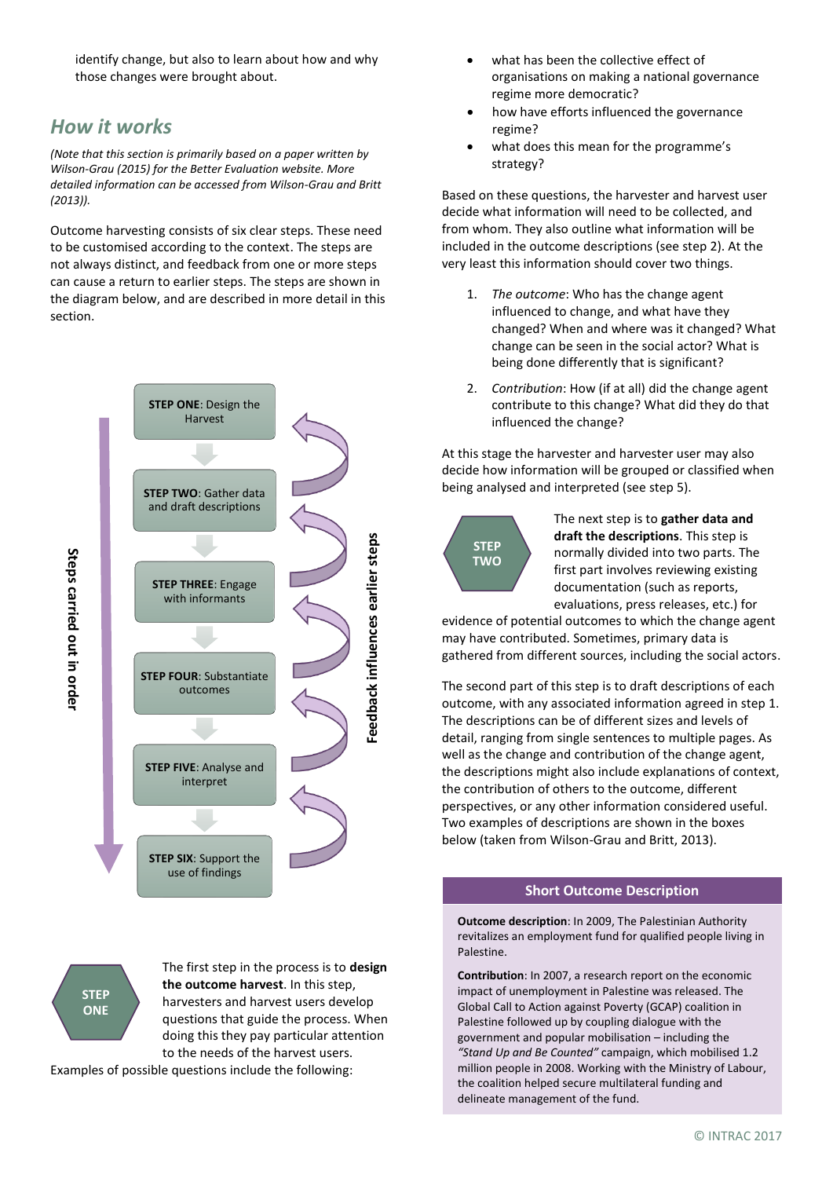identify change, but also to learn about how and why those changes were brought about.

## *How it works*

*(Note that this section is primarily based on a paper written by Wilson-Grau (2015) for the Better Evaluation website. More detailed information can be accessed from Wilson-Grau and Britt (2013)).*

Outcome harvesting consists of six clear steps. These need to be customised according to the context. The steps are not always distinct, and feedback from one or more steps can cause a return to earlier steps. The steps are shown in the diagram below, and are described in more detail in this section.



**STEP ONE**

The first step in the process is to **design the outcome harvest**. In this step, harvesters and harvest users develop questions that guide the process. When doing this they pay particular attention to the needs of the harvest users.

Examples of possible questions include the following:

- what has been the collective effect of organisations on making a national governance regime more democratic?
- how have efforts influenced the governance regime?
- what does this mean for the programme's strategy?

Based on these questions, the harvester and harvest user decide what information will need to be collected, and from whom. They also outline what information will be included in the outcome descriptions (see step 2). At the very least this information should cover two things.

- 1. *The outcome*: Who has the change agent influenced to change, and what have they changed? When and where was it changed? What change can be seen in the social actor? What is being done differently that is significant?
- 2. *Contribution*: How (if at all) did the change agent contribute to this change? What did they do that influenced the change?

At this stage the harvester and harvester user may also decide how information will be grouped or classified when being analysed and interpreted (see step 5).



The next step is to **gather data and draft the descriptions**. This step is normally divided into two parts. The first part involves reviewing existing documentation (such as reports, evaluations, press releases, etc.) for

evidence of potential outcomes to which the change agent may have contributed. Sometimes, primary data is gathered from different sources, including the social actors.

The second part of this step is to draft descriptions of each outcome, with any associated information agreed in step 1. The descriptions can be of different sizes and levels of detail, ranging from single sentences to multiple pages. As well as the change and contribution of the change agent, the descriptions might also include explanations of context, the contribution of others to the outcome, different perspectives, or any other information considered useful. Two examples of descriptions are shown in the boxes below (taken from Wilson-Grau and Britt, 2013).

#### **Short Outcome Description**

**Outcome description**: In 2009, The Palestinian Authority revitalizes an employment fund for qualified people living in Palestine.

**Contribution**: In 2007, a research report on the economic impact of unemployment in Palestine was released. The Global Call to Action against Poverty (GCAP) coalition in Palestine followed up by coupling dialogue with the government and popular mobilisation – including the *"Stand Up and Be Counted"* campaign, which mobilised 1.2 million people in 2008. Working with the Ministry of Labour, the coalition helped secure multilateral funding and delineate management of the fund.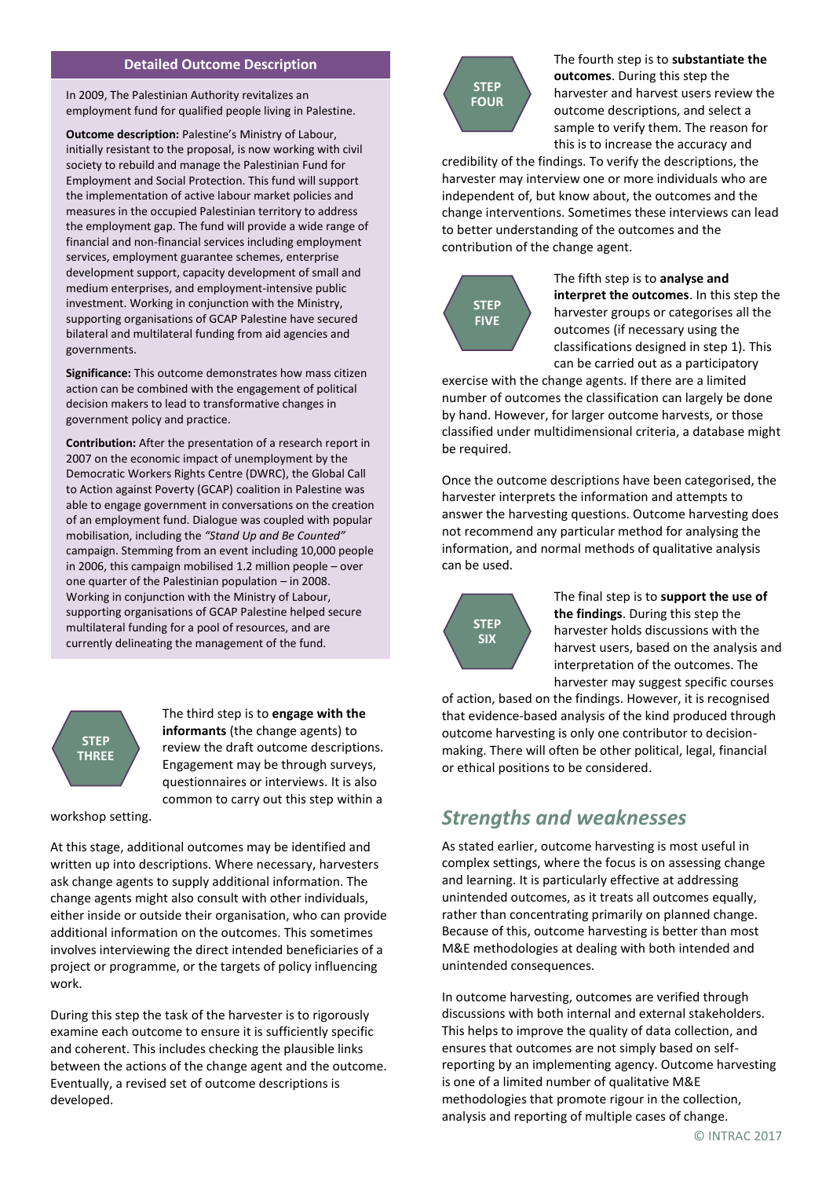#### **Detailed Outcome Description**

In 2009, The Palestinian Authority revitalizes an employment fund for qualified people living in Palestine.

**Outcome description:** Palestine's Ministry of Labour, initially resistant to the proposal, is now working with civil society to rebuild and manage the Palestinian Fund for Employment and Social Protection. This fund will support the implementation of active labour market policies and measures in the occupied Palestinian territory to address the employment gap. The fund will provide a wide range of financial and non-financial services including employment services, employment guarantee schemes, enterprise development support, capacity development of small and medium enterprises, and employment-intensive public investment. Working in conjunction with the Ministry, supporting organisations of GCAP Palestine have secured bilateral and multilateral funding from aid agencies and governments.

**Significance:** This outcome demonstrates how mass citizen action can be combined with the engagement of political decision makers to lead to transformative changes in government policy and practice.

**Contribution:** After the presentation of a research report in 2007 on the economic impact of unemployment by the Democratic Workers Rights Centre (DWRC), the Global Call to Action against Poverty (GCAP) coalition in Palestine was able to engage government in conversations on the creation of an employment fund. Dialogue was coupled with popular mobilisation, including the *"Stand Up and Be Counted"*  campaign. Stemming from an event including 10,000 people in 2006, this campaign mobilised 1.2 million people – over one quarter of the Palestinian population – in 2008. Working in conjunction with the Ministry of Labour, supporting organisations of GCAP Palestine helped secure multilateral funding for a pool of resources, and are currently delineating the management of the fund.

**STEP THREE** The third step is to **engage with the informants** (the change agents) to review the draft outcome descriptions. Engagement may be through surveys, questionnaires or interviews. It is also common to carry out this step within a

workshop setting.

At this stage, additional outcomes may be identified and written up into descriptions. Where necessary, harvesters ask change agents to supply additional information. The change agents might also consult with other individuals, either inside or outside their organisation, who can provide additional information on the outcomes. This sometimes involves interviewing the direct intended beneficiaries of a project or programme, or the targets of policy influencing work.

During this step the task of the harvester is to rigorously examine each outcome to ensure it is sufficiently specific and coherent. This includes checking the plausible links between the actions of the change agent and the outcome. Eventually, a revised set of outcome descriptions is developed.



The fourth step is to **substantiate the outcomes**. During this step the harvester and harvest users review the outcome descriptions, and select a sample to verify them. The reason for this is to increase the accuracy and

credibility of the findings. To verify the descriptions, the harvester may interview one or more individuals who are independent of, but know about, the outcomes and the change interventions. Sometimes these interviews can lead to better understanding of the outcomes and the contribution of the change agent.



The fifth step is to **analyse and interpret the outcomes**. In this step the harvester groups or categorises all the outcomes (if necessary using the classifications designed in step 1). This can be carried out as a participatory

exercise with the change agents. If there are a limited number of outcomes the classification can largely be done by hand. However, for larger outcome harvests, or those classified under multidimensional criteria, a database might be required.

Once the outcome descriptions have been categorised, the harvester interprets the information and attempts to answer the harvesting questions. Outcome harvesting does not recommend any particular method for analysing the information, and normal methods of qualitative analysis can be used.



The final step is to **support the use of the findings**. During this step the harvester holds discussions with the harvest users, based on the analysis and interpretation of the outcomes. The harvester may suggest specific courses

of action, based on the findings. However, it is recognised that evidence-based analysis of the kind produced through outcome harvesting is only one contributor to decisionmaking. There will often be other political, legal, financial or ethical positions to be considered.

### *Strengths and weaknesses*

As stated earlier, outcome harvesting is most useful in complex settings, where the focus is on assessing change and learning. It is particularly effective at addressing unintended outcomes, as it treats all outcomes equally, rather than concentrating primarily on planned change. Because of this, outcome harvesting is better than most M&E methodologies at dealing with both intended and unintended consequences.

In outcome harvesting, outcomes are verified through discussions with both internal and external stakeholders. This helps to improve the quality of data collection, and ensures that outcomes are not simply based on selfreporting by an implementing agency. Outcome harvesting is one of a limited number of qualitative M&E methodologies that promote rigour in the collection, analysis and reporting of multiple cases of change.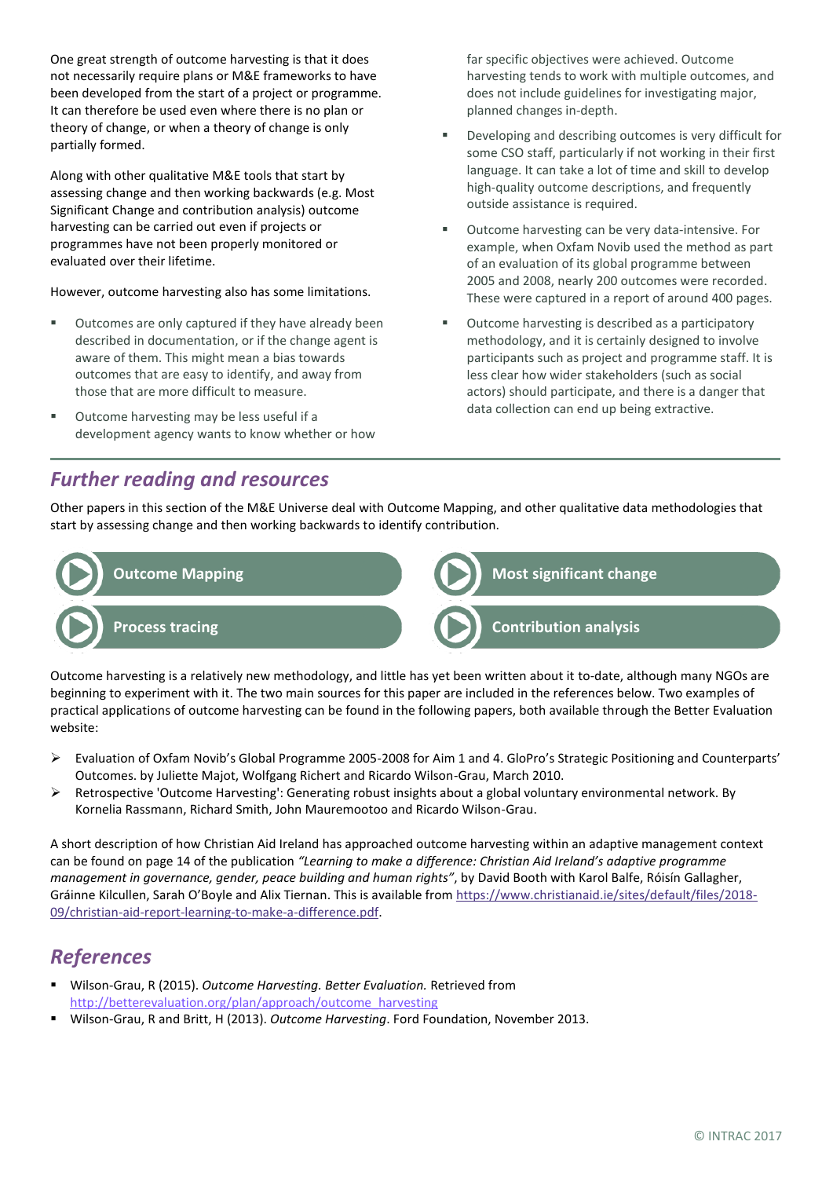One great strength of outcome harvesting is that it does not necessarily require plans or M&E frameworks to have been developed from the start of a project or programme. It can therefore be used even where there is no plan or theory of change, or when a theory of change is only partially formed.

Along with other qualitative M&E tools that start by assessing change and then working backwards (e.g. Most Significant Change and contribution analysis) outcome harvesting can be carried out even if projects or programmes have not been properly monitored or evaluated over their lifetime.

However, outcome harvesting also has some limitations.

- Outcomes are only captured if they have already been described in documentation, or if the change agent is aware of them. This might mean a bias towards outcomes that are easy to identify, and away from those that are more difficult to measure.
- Outcome harvesting may be less useful if a development agency wants to know whether or how

far specific objectives were achieved. Outcome harvesting tends to work with multiple outcomes, and does not include guidelines for investigating major, planned changes in-depth.

- Developing and describing outcomes is very difficult for some CSO staff, particularly if not working in their first language. It can take a lot of time and skill to develop high-quality outcome descriptions, and frequently outside assistance is required.
- Outcome harvesting can be very data-intensive. For example, when Oxfam Novib used the method as part of an evaluation of its global programme between 2005 and 2008, nearly 200 outcomes were recorded. These were captured in a report of around 400 pages.
- Outcome harvesting is described as a participatory methodology, and it is certainly designed to involve participants such as project and programme staff. It is less clear how wider stakeholders (such as social actors) should participate, and there is a danger that data collection can end up being extractive.

## *Further reading and resources*

Other papers in this section of the M&E Universe deal with Outcome Mapping, and other qualitative data methodologies that start by assessing change and then working backwards to identify contribution.



Outcome harvesting is a relatively new methodology, and little has yet been written about it to-date, although many NGOs are beginning to experiment with it. The two main sources for this paper are included in the references below. Two examples of practical applications of outcome harvesting can be found in the following papers, both available through the Better Evaluation website:

- ➢ Evaluation of Oxfam Novib's Global Programme 2005-2008 for Aim 1 and 4. GloPro's Strategic Positioning and Counterparts' Outcomes. by Juliette Majot, Wolfgang Richert and Ricardo Wilson-Grau, March 2010.
- ➢ Retrospective 'Outcome Harvesting': Generating robust insights about a global voluntary environmental network. By Kornelia Rassmann, Richard Smith, John Mauremootoo and Ricardo Wilson-Grau.

A short description of how Christian Aid Ireland has approached outcome harvesting within an adaptive management context can be found on page 14 of the publication *"Learning to make a difference: Christian Aid Ireland's adaptive programme management in governance, gender, peace building and human rights"*, by David Booth with Karol Balfe, Róisín Gallagher, Gráinne Kilcullen, Sarah O'Boyle and Alix Tiernan. This is available from [https://www.christianaid.ie/sites/default/files/2018-](https://www.christianaid.ie/sites/default/files/2018-09/christian-aid-report-learning-to-make-a-difference.pdf) [09/christian-aid-report-learning-to-make-a-difference.pdf.](https://www.christianaid.ie/sites/default/files/2018-09/christian-aid-report-learning-to-make-a-difference.pdf)

## *References*

- Wilson-Grau, R (2015). *Outcome Harvesting. Better Evaluation.* Retrieved from [http://betterevaluation.org/plan/approach/outcome\\_harvesting](http://betterevaluation.org/plan/approach/outcome_harvesting)
- Wilson-Grau, R and Britt, H (2013). *Outcome Harvesting*. Ford Foundation, November 2013.